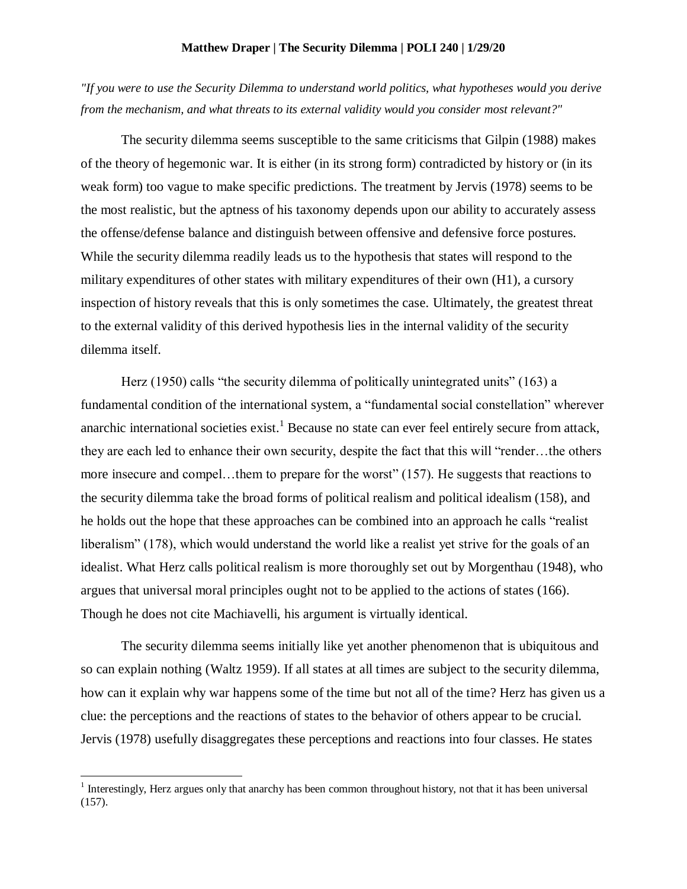## **Matthew Draper | The Security Dilemma | POLI 240 | 1/29/20**

*"If you were to use the Security Dilemma to understand world politics, what hypotheses would you derive from the mechanism, and what threats to its external validity would you consider most relevant?"*

The security dilemma seems susceptible to the same criticisms that Gilpin (1988) makes of the theory of hegemonic war. It is either (in its strong form) contradicted by history or (in its weak form) too vague to make specific predictions. The treatment by Jervis (1978) seems to be the most realistic, but the aptness of his taxonomy depends upon our ability to accurately assess the offense/defense balance and distinguish between offensive and defensive force postures. While the security dilemma readily leads us to the hypothesis that states will respond to the military expenditures of other states with military expenditures of their own (H1), a cursory inspection of history reveals that this is only sometimes the case. Ultimately, the greatest threat to the external validity of this derived hypothesis lies in the internal validity of the security dilemma itself.

Herz (1950) calls "the security dilemma of politically unintegrated units" (163) a fundamental condition of the international system, a "fundamental social constellation" wherever anarchic international societies exist.<sup>1</sup> Because no state can ever feel entirely secure from attack, they are each led to enhance their own security, despite the fact that this will "render…the others more insecure and compel…them to prepare for the worst" (157). He suggests that reactions to the security dilemma take the broad forms of political realism and political idealism (158), and he holds out the hope that these approaches can be combined into an approach he calls "realist liberalism" (178), which would understand the world like a realist yet strive for the goals of an idealist. What Herz calls political realism is more thoroughly set out by Morgenthau (1948), who argues that universal moral principles ought not to be applied to the actions of states (166). Though he does not cite Machiavelli, his argument is virtually identical.

The security dilemma seems initially like yet another phenomenon that is ubiquitous and so can explain nothing (Waltz 1959). If all states at all times are subject to the security dilemma, how can it explain why war happens some of the time but not all of the time? Herz has given us a clue: the perceptions and the reactions of states to the behavior of others appear to be crucial. Jervis (1978) usefully disaggregates these perceptions and reactions into four classes. He states

 $\overline{a}$ 

<sup>&</sup>lt;sup>1</sup> Interestingly, Herz argues only that anarchy has been common throughout history, not that it has been universal (157).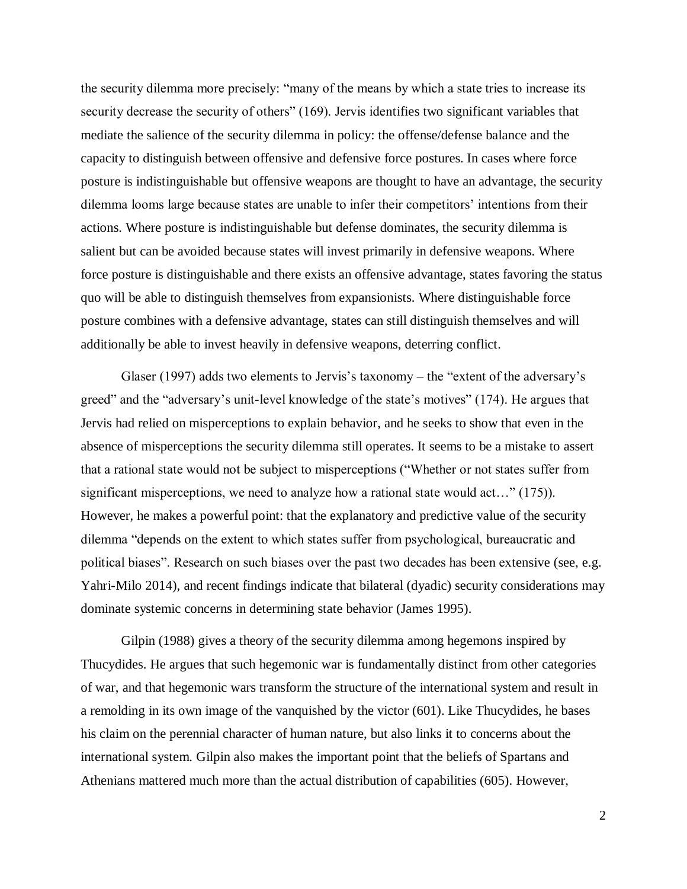the security dilemma more precisely: "many of the means by which a state tries to increase its security decrease the security of others" (169). Jervis identifies two significant variables that mediate the salience of the security dilemma in policy: the offense/defense balance and the capacity to distinguish between offensive and defensive force postures. In cases where force posture is indistinguishable but offensive weapons are thought to have an advantage, the security dilemma looms large because states are unable to infer their competitors' intentions from their actions. Where posture is indistinguishable but defense dominates, the security dilemma is salient but can be avoided because states will invest primarily in defensive weapons. Where force posture is distinguishable and there exists an offensive advantage, states favoring the status quo will be able to distinguish themselves from expansionists. Where distinguishable force posture combines with a defensive advantage, states can still distinguish themselves and will additionally be able to invest heavily in defensive weapons, deterring conflict.

Glaser (1997) adds two elements to Jervis's taxonomy – the "extent of the adversary's greed" and the "adversary's unit-level knowledge of the state's motives" (174). He argues that Jervis had relied on misperceptions to explain behavior, and he seeks to show that even in the absence of misperceptions the security dilemma still operates. It seems to be a mistake to assert that a rational state would not be subject to misperceptions ("Whether or not states suffer from significant misperceptions, we need to analyze how a rational state would act…" (175)). However, he makes a powerful point: that the explanatory and predictive value of the security dilemma "depends on the extent to which states suffer from psychological, bureaucratic and political biases". Research on such biases over the past two decades has been extensive (see, e.g. Yahri-Milo 2014), and recent findings indicate that bilateral (dyadic) security considerations may dominate systemic concerns in determining state behavior (James 1995).

Gilpin (1988) gives a theory of the security dilemma among hegemons inspired by Thucydides. He argues that such hegemonic war is fundamentally distinct from other categories of war, and that hegemonic wars transform the structure of the international system and result in a remolding in its own image of the vanquished by the victor (601). Like Thucydides, he bases his claim on the perennial character of human nature, but also links it to concerns about the international system. Gilpin also makes the important point that the beliefs of Spartans and Athenians mattered much more than the actual distribution of capabilities (605). However,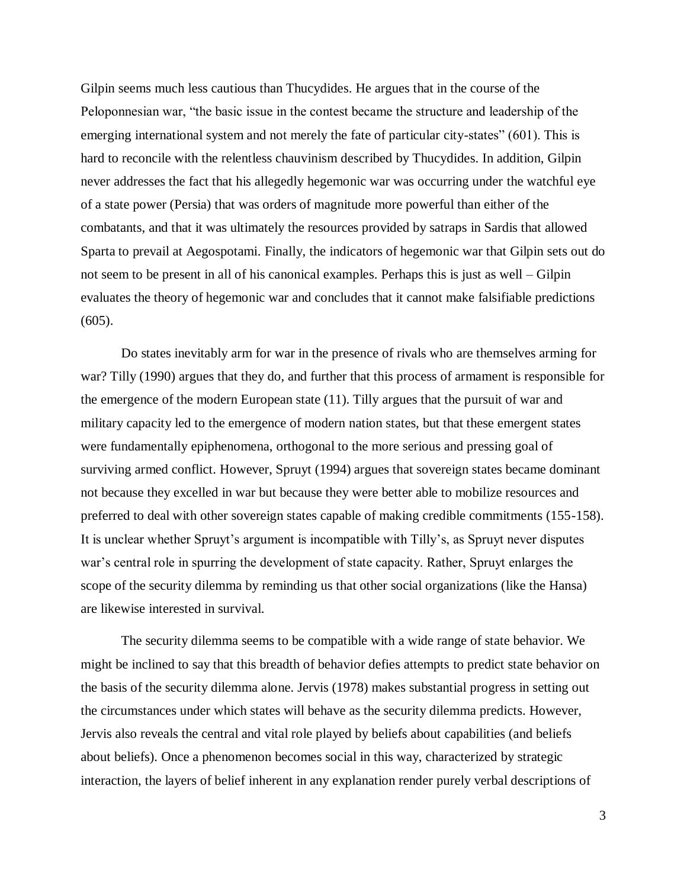Gilpin seems much less cautious than Thucydides. He argues that in the course of the Peloponnesian war, "the basic issue in the contest became the structure and leadership of the emerging international system and not merely the fate of particular city-states" (601). This is hard to reconcile with the relentless chauvinism described by Thucydides. In addition, Gilpin never addresses the fact that his allegedly hegemonic war was occurring under the watchful eye of a state power (Persia) that was orders of magnitude more powerful than either of the combatants, and that it was ultimately the resources provided by satraps in Sardis that allowed Sparta to prevail at Aegospotami. Finally, the indicators of hegemonic war that Gilpin sets out do not seem to be present in all of his canonical examples. Perhaps this is just as well – Gilpin evaluates the theory of hegemonic war and concludes that it cannot make falsifiable predictions  $(605)$ .

Do states inevitably arm for war in the presence of rivals who are themselves arming for war? Tilly (1990) argues that they do, and further that this process of armament is responsible for the emergence of the modern European state (11). Tilly argues that the pursuit of war and military capacity led to the emergence of modern nation states, but that these emergent states were fundamentally epiphenomena, orthogonal to the more serious and pressing goal of surviving armed conflict. However, Spruyt (1994) argues that sovereign states became dominant not because they excelled in war but because they were better able to mobilize resources and preferred to deal with other sovereign states capable of making credible commitments (155-158). It is unclear whether Spruyt's argument is incompatible with Tilly's, as Spruyt never disputes war's central role in spurring the development of state capacity. Rather, Spruyt enlarges the scope of the security dilemma by reminding us that other social organizations (like the Hansa) are likewise interested in survival.

The security dilemma seems to be compatible with a wide range of state behavior. We might be inclined to say that this breadth of behavior defies attempts to predict state behavior on the basis of the security dilemma alone. Jervis (1978) makes substantial progress in setting out the circumstances under which states will behave as the security dilemma predicts. However, Jervis also reveals the central and vital role played by beliefs about capabilities (and beliefs about beliefs). Once a phenomenon becomes social in this way, characterized by strategic interaction, the layers of belief inherent in any explanation render purely verbal descriptions of